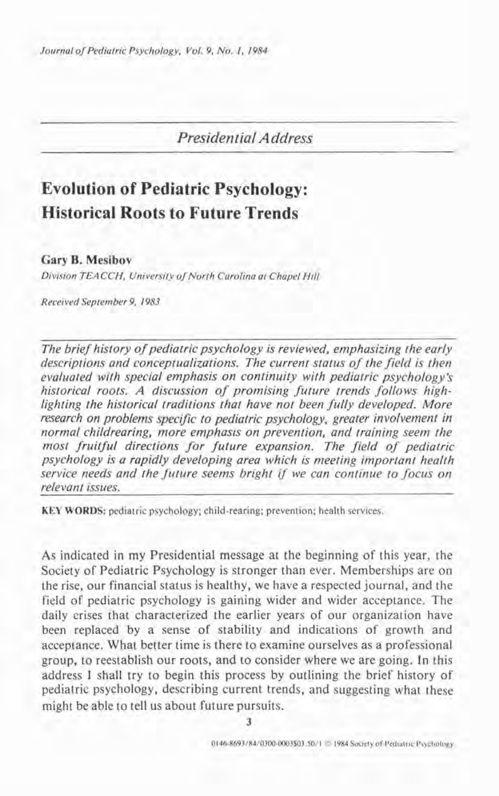*Journal of Pediatric Psychology, Vol. 9, No. I, 1984* 

 $-$ 

*Presidential A ddress* 

# **Evolution of Pediatric Psychology: Historical Roots to Future Trends**

## *Gary* **B.** *Mesibov*

**Division TEACCH**, University of North Carolina at Chapel Hill

*Received September 9, 1983* 

*The brief history of pediatric psychology is reviewed, emphasizing the early descriptions and conceptualizations. The current status of the field is then evaluated with special emphasis on continuity with pediatric psychology's historical roots. A discussion of promising future trends follows highlighting the historical traditions that have not been fully developed. More research on problems specific to pediatric psychology, greater involvement in normal childrearing, more emphasrs on prevention, and training seem the most fruitful directions for future expansion. The field of pediatric psychology is a rapidly developing area which is meeting important health service needs and the juture seems bright* iJ' *we can continue to focus on relevant issues.* 

KEY WORDS: pediatric psychology; child-rearing; prevention; healrh services.

As indicated in my Presidential message at the beginning of this year, the Society of Pediatric Psychology is stronger than ever. Memberships are on the rise, our financial status is healthy, we have a respected journal, and the field of pediatric psychology is gaining wider and wider acceptance. The daily crises that characterized the earlier years of our organization have been replaced by a sense of stability and indications of growth and acceptance. What better time is there to examine ourselves as a professional group, to reestablish our roots, and to consider where we are going. In this address I shall try to begin this process by outlining the brief history of pediatric psychology, describing current trends, and suggesting what these might be able to tell us about future pursuits.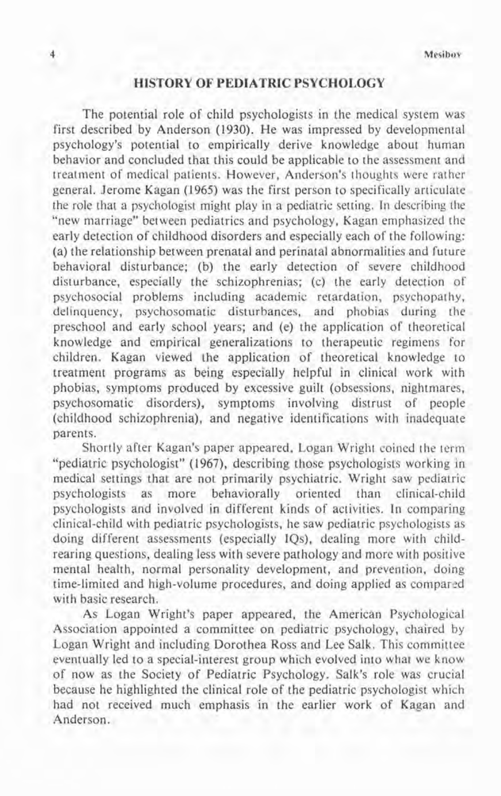# **HISTORY OF PEDIATRIC PSYCHOLOGY**

The potential role of child psychologists in the medical system was first described by Anderson (1930). He was impressed by developmental psychology's potential to empirically derive knowledge about human behavior and concluded that this could be applicable to the assessment and treatment of medical patients. However, Anderson's thoughts were rather general. Jerome Kagan (1965) was the first person to specifically articulate the role that a psychologist might play in a pediatric setting. In describing the "new marriage" between pediatrics and psychology, Kagan emphasized the early detection of childhood disorders and especially each of the following: (a) the relationship between prenatal and perinatal abnormalities and future behavioral disturbance; (b) the early detection of severe childhood disturbance, especially the schizophrenias; (c) the early detection of psychosocial problems including academic retardation, psychopathy, delinquency, psychosomatic disturbances, and phobias during the preschool and early school years; and (e) the application of theoretical knowledge and empirical generalizations to therapeutic regimens for children. Kagan viewed the application of theoretical knowledge to treatment programs as being especially helpful in clinical work with phobias, symptoms produced by excessive guilt (obsessions, nightmares, psychosomatic disorders), symptoms involving distrust of people (childhood schizophrenia), and negative identifications with inadequate parents.

Shortly after Kagan's paper appeared, Logan Wright coined the term "pediatric psychologist" (1967), describing those psychologists working in medical settings that are not primarily psychiatric. Wright saw pediatric psychologists as more behaviorally oriented than clinical-child psychologists and involved in different kinds of activities. In comparing clinical-child with pediatric psychologists, he saw pediatric psychologists as doing different assessments (especially IQs), dealing more with childrearing questions, dealing less with severe pathology and more with positive mental health, normal personality development, and prevention, doing time-limited and high-volume procedures, and doing applied as comparzd with basic research.

As Logan Wright's paper appeared, the American Psychological Association appointed a committee on pediatric psychology, chaired by Logan Wright and including Dorothea Ross and Lee Salk. This committee eventually led to a special-interest group which evolved into what we know of now as the Society of Pediatric Psychology. Salk's role was crucial because he highlighted the clinical role of the pediatric psychologist which had not received much emphasis in the earlier work of Kagan and Anderson.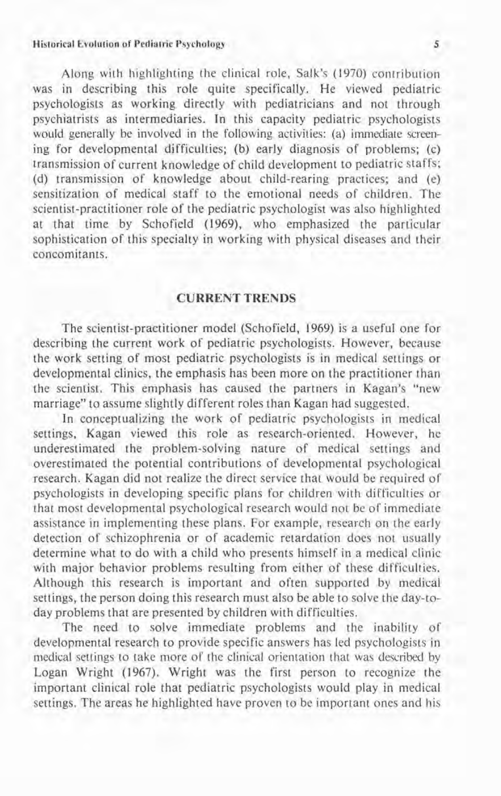Along with highlighting the clinical role, Salk's (1970) contribution was in describing this role quite specifically. He viewed pediatric psychologists as working directly with pediatricians and not through psychiatrists as intermediaries. In this capacity pediatric psychologists would generally be involved in the following activities: (a) immediate screening for developmental difficulties; (b) early diagnosis of problems; (c) transmission of current knowledge of child development to pediatric staffs; (d) transmission of knowledge about child-rearing practices; and (e) sensitization of medical staff to the emotional needs of children. The scientist-practitioner role of the pediatric psychologist was also highlighted at that time by Schofield (1969), who emphasized the particular sophistication of this specialty in working with physical diseases and their concomitants.

# **CURRENT TRENDS**

The scientist-practitioner model (Schofield, 1969) is a useful one for describing the current work of pediatric psychologists. However, because the work setting of most pediatric psychologists is in medical settings or developmental clinics, the emphasis has been more on the practitioner than the scientist. This emphasis has caused the partners in Kagan's "new marriage" to assume slightly different roles than Kagan had suggested.

In conceptualizing the work of pediatric psychologists in medical settings, Kagan viewed this role as research-oriented. However, he underestimated the problem-solving nature of medical settings and overestimated the potential contributions of developmental psychological research. Kagan did not realize the direct service that would be required of psychologists in developing specific plans for children with difficulties or that most developmental psychological research would not be of immediate assistance in implementing these plans. For example, research on the early detection of schizophrenia or of academic retardation does not usually determine what to do with a child who presents himself in a medical clinic with major behavior problems resulting from either of these difficulties. Although this research is important and often supported by medical settings, the person doing this research must also be able to solve the day-today problems that are presented by children with difficulties.

The need to solve immediate problems and the inability of developmental research to provide specific answers has led psychologists in medical settings to take more of the clinical orientation that was described by Logan Wright (1967). Wright was the first person to recognize the important clinical role that pediatric psychologists would play in medical settings. The areas he highlighted have proven to be important ones and his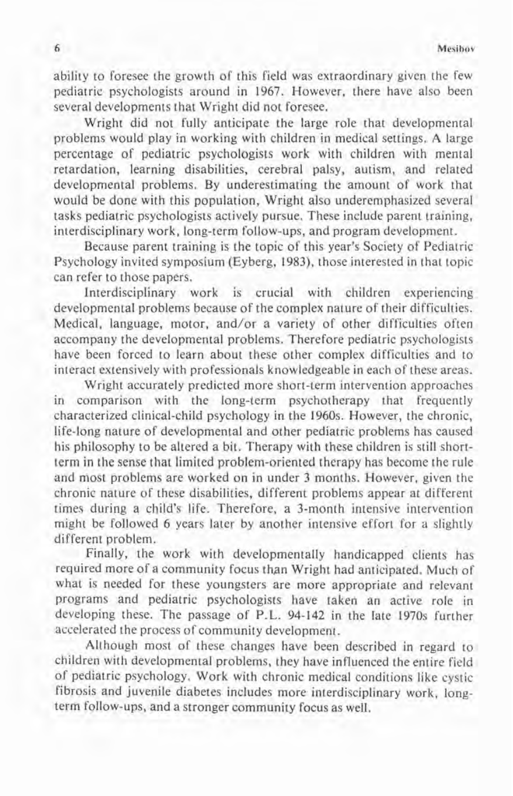ability to foresee the growth of this field was extraordinary given the few pediatric psychologists around in 1967. However, there have also been several developments that Wright did not foresee.

Wright did not fully anticipate the large role that developmental problems would play in working with children in medical settings. A large percentage of pediatric psychologists work with children with mental retardation, learning disabilities, cerebral palsy, autism, and related developmental problems. By underestimating the amount of work that would be done with this population, Wright also underemphasized several tasks pediatric psychologists actively pursue. These include parent training, interdisciplinary work, long-term follow-ups, and program development.

Because parent training is the topic of this year's Society of Pediatric Psychology invited symposium (Eyberg, 1983), those interested in that topic can refer to those papers.

Interdisciplinary work is crucial with children experiencing developmental problems because of the complex nature of their difficulties. Medical, language, motor, and/or a variety of other difficulties often accompany the developmental problems. Therefore pediatric psychologists have been forced to learn about these other complex difficulties and to interact extensively with professionals knowledgeable in each of these areas.

Wright accurately predicted more short-term intervention approaches in comparison with the long-term psychotherapy that frequently characterized clinical-child psychology in the 1960s. However, the chronic, life-long nature of developmental and other pediatric problems has caused his philosophy to be altered a bit. Therapy with these children is still shortterm in the sense that limited problem-oriented therapy has become the rule and most problems are worked on in under 3 months. However, given the chronic nature of these disabilities, different problems appear at different times during a child's life. Therefore, a 3-month intensive intervention might be followed 6 years later by another intensive effort for a slightly different problem.

Finally, the work with developmentally handicapped- clients has required more of a community focus than Wright had anticipated. Much of what is needed for these youngsters are more appropriate and relevant programs and pediatric psychologists have taken an active role in developing these. The passage of P.L. 94-142 in the late 1970s further accelerated the process of community development.

Although most of these changes have been described in regard to children with developmental problems, they have influenced the entire field of pediatric psychology. Work with chronic medical conditions like cystic fibrosis and juvenile diabetes includes more interdisciplinary work, longterm follow-ups, and a stronger community focus as well.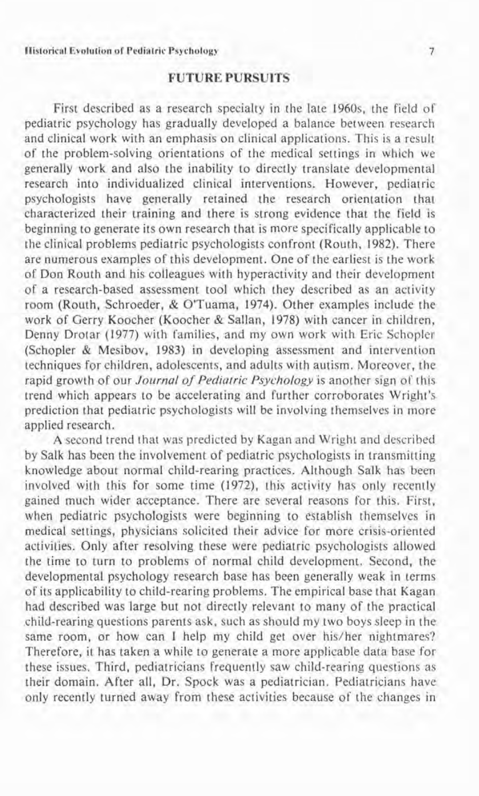# **FUTURE PURSUITS**

First described as a research specialty in the late 1960s, the field of pediatric psychology has gradually developed a balance between research and clinical work with an emphasis on clinical applications. This is a result of the problem-solving orientations of the medical settings in which we generally work and also the inability to directly translate developmental research into individualized clinical interventions. However, pediatric psychologists have generally retained the research orientation that characterized their training and there is strong evidence that the field is beginning to generate its own research that is more specifically applicable to the clinical problems pediatric psychologists confront (Routh, 1982). There are numerous examples of this development. One of the earliest is the work of Don Routh and his colleagues with hyperactivity and their development of a research-based assessment tool which they described as an activity room (Routh, Schroeder, & O'Tuama, 1974). Other examples include the work of Gerry Koocher (Koocher & Sallan, 1978) with cancer in children, Denny Drotar (1977) with families, and my own work with Eric Schopler (Schopler & Mesibov, 1983) in developing assessment and intervention techniques for children, adolescents, and adults with autism. Moreover, the rapid growth of our *Journal of Pediatric Psychology* is another sign of this trend which appears to be accelerating and further corroborates Wright's prediction that pediatric psychologists will be involving themselves in more applied research.

**A** second trend that was predicted by Kagan and Wright and described by Salk has been the involvement of pediatric psychologists in transmitting knowledge about normal child-rearing practices. Although Salk has been involved with this for some time (1972), this activity has only recently gained much wider acceptance. There are several reasons for this. First, when pediatric psychologists were beginning to establish themselves in medical settings, physicians solicited their advice for more crisis-oriented activities. Only after resolving these were pediatric psychologists allowed the time to turn to problems of normal child development. Second, the developmental psychology research base has been generally weak in terms of its applicability to child-rearing problems. The empirical base that Kagan had described was large but not directly relevant to many of the practical child-rearing questions parents ask, such as should my two boys sleep in the same room, or how can I help my child get over his/her nightmares? Therefore, it has taken a while to generate a more applicable data base for these issues. Third, pediatricians frequently saw child-rearing questions as their domain. After all, Dr. Spock was a pediatrician. Pediatricians have only recently turned away from these activities because of the changes in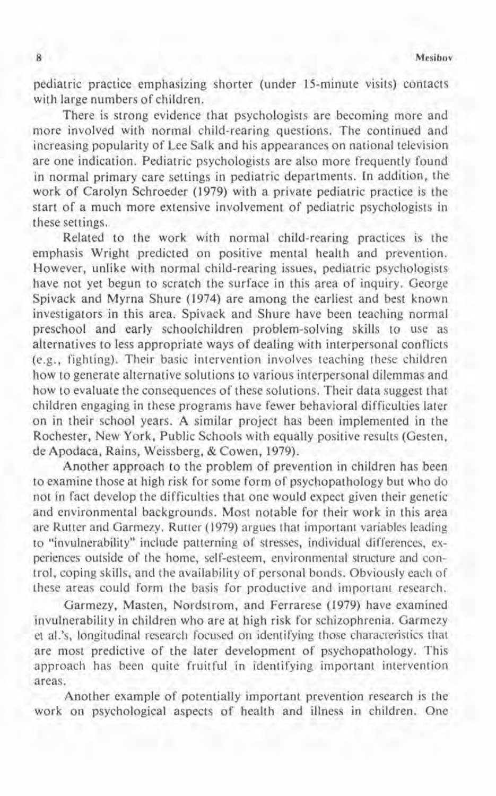pediatric practice emphasizing shorter (under 15-minute visits) contacts with large numbers of children.

There is strong evidence that psychologists are becoming more and more involved with normal child-rearing questions. The continued and increasing popularity of Lee Salk and his appearances on national television are one indication. Pediatric psychologists are also more frequently found in normal primary care settings in pediatric departments. In addition, the work of Carolyn Schroeder (1979) with a private pediatric practice is the start of a much more extensive involvement of pediatric psychologists in these settings.

Related to the work with normal child-rearing practices is the emphasis Wright predicted on positive mental health and prevention. However, unlike with normal child-rearing issues, pediatric psychologists have not yet begun to scratch the surface in this area of inquiry. George Spivack and Myrna Shure (1974) are among the earliest and best known investigators in this area. Spivack and Shure have been teaching normal preschool and early schoolchildren problem-solving skills to use as alternatives to less appropriate ways of dealing with interpersonal conflicts (e.g., fighting). Their basic intervention involves teaching these children how to generate alternative solutions to various interpersonal dilemmas and how to evaluate the consequences of these solutions. Their data suggest that children engaging in these programs have fewer behavioral difficulties later on in their school years. A similar project has been implemented in the Rochester, New York, Public Schools with equally positive results (Gesten, de Apodaca, Rains, Weissberg, & Cowen, 1979).

Another approach to the problem of prevention in children has been to examine those at high risk for some form of psychopathology but who do not in fact develop the difficulties that one would expect given their genetic and environmental backgrounds. Most notable for their work in this area are Rutter and Garmezy. Rutter (1979) argues that important variables leading to "invulnerability" include patterning of stresses, individual differences, experiences outside of the home, self-esteem, environmental structure and control, coping skills, and the availability of personal bonds. Obviously each of these areas could form the basis for productive and important research.

Garmezy, Masten, Nordstrom, and Ferrarese (1979) have examined invulnerability in children who are at high risk for schizophrenia. Garmezy et al.'s, longitudinal research focused on identifying those characteristics that are most predictive of the later development of psychopathology. This approach has been quite fruitful in identifying important intervention areas.

Another example of potentially important prevention research is the work on psychological aspects of health and illness in children. One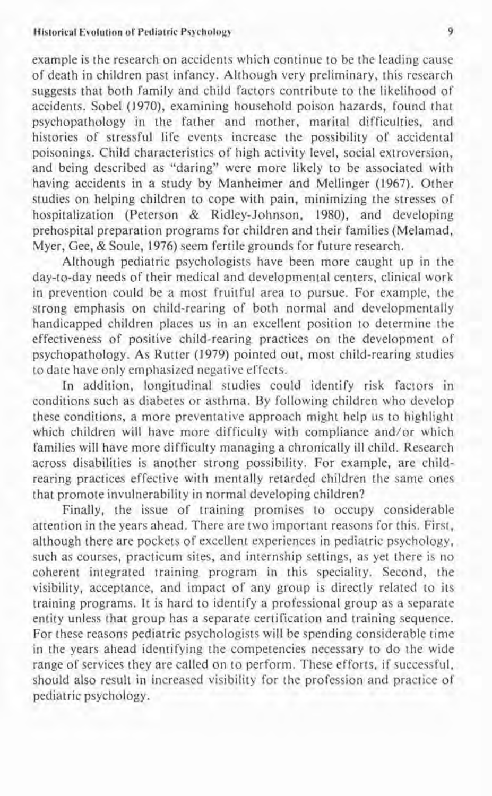example is the research on accidents which continue to be the leading cause of death in children past infancy. Although very preliminary, this research suggests that both family and child factors contribute to the likelihood of accidents. Sobel (1970), examining household poison hazards, found that psychopathology in the father and mother, marital difficulties, and histories of stressful life events increase the possibility of accidental poisonings. Child characteristics of high activity level, social extroversion, and being described as "daring" were more likely to be associated with having accidents in a study by Manheimer and Mellinger (1967). Other studies on helping children to cope with pain, minimizing the stresses of hospitalization (Peterson & Ridley-Johnson, 1980), and developing prehospital preparation programs for children and their families (Melamad, Myer, Gee, & Soule, 1976) seem fertile grounds for future research.

Although pediatric psychologists have been more caught up in the day-to-day needs of their medical and developmental centers, clinical work in prevention could be a most fruitful area to pursue. For example, the strong emphasis on child-rearing of both normal and developmentally handicapped children places us in an excellent position to determine the effectiveness of positive child-rearing practices on the development of psychopathology. As Rutter (1979) pointed out, most child-rearing studies to date have only emphasized negative effects.

In addition, longitudinal studies could identify risk factors in conditions such as diabetes or asthma. By following children who develop these conditions, a more preventative approach might help us to highlight which children will have more difficulty with compliance and/or which families will have more difficulty managing a chronically ill child. Research across disabilities is another strong possibility. For example, are childrearing practices effective with mentally retarded children the same ones that promote invulnerability in normal developing children?

Finally, the issue of training promises to occupy considerable attention in the years ahead. There are two important reasons for this. First, although there are pockets of excellent experiences in pediatric psychology, such as courses, practicum sites, and internship settings, as yet there is no coherent integrated training program in this speciality. Second, the visibility, acceptance, and impact of any group is directly related to its training programs. It is hard to identify a professional group as a separate entity unless that group has a separate certification and training sequence. For these reasons pediatric psychologists will be spending considerable time in the years ahead identifying the competencies necessary to do the wide range of services they are called on to perform. These efforts, if successful, should also result in increased visibility for the profession and practice of pediatric psychology.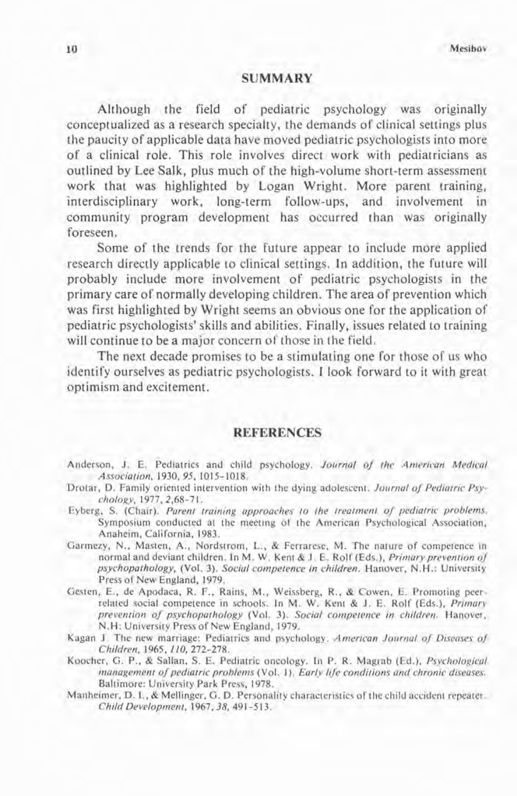## **SUMMARY**

Although the field of pediatric psychology was originally conceptualized as a research specialty, the demands of clinical settings plus the paucity of applicable data have moved pediatric psychologists into more of a clinical role. This role involves direct work with pediatricians as outlined by Lee Salk, plus much of the high-volume short-term assessment work that was highlighted by Logan Wright. More parent training, interdisciplinary work, long-term follow-ups, and involvement in community program development has occurred than was originally foreseen.

Some of the trends for the future appear to include more applied research directly applicable to clinical settings. In addition, the future will probably include more involvement of pediatric psychologists in the primary care of normally developing children. The area of prevention which was first highlighted by Wright seems an obvious one for the application of pediatric psychologists' skills and abilities. Finally, issues related to training will continue to be a major concern of those in the field.

The next decade promises to be a stimulating one for those of us who identify ourselves as pediatric psychologists. I look forward to it with great optimism and excitement.

# **REFERENCES**

Anderson, J. E. Pediatrics and child psychology. **Journal of the American Medical Associarion,** 1930, **95,** 1015-1018.

- Drotar, D. Family oriented intervention with the dying adolescent. *Journal of Pediatric Psy***cholo~.v,** 1977, 2,68-7 1.
- Eyberg, S. (Chair). Parent training approaches to the treatment of pediatric problems. Symposium conducted at the meetlng of the American Psychological Association. Anaheim, California, 1983.
- Garmezy, N., Masten, **A,.** Nordstrom, L., & Ferrarese, M. The nature of competence in normal and deviant children. In M. W. Kent & J. E. Rolf (Eds.). **Prirnoryprevenrion** of **psychopathology,** (Vol. 3). **Social comperence in children.** Hanover, N.H.: University Press of New England, 1979.
- Cesten. E.. dc Apodaca. R. F., Rains, M., Weissberg. R., & Cowen. E. Promoting peerrelated social competence in schools. In M. W. Kent & J. E. Rolf (Eds.), *Primary* prevention of psychopathology (Vol. 3). Social competence in children. Hanover, N.H: University Press of New England, 1979.
- Kagan J. The new marriage: Pediatrics and psychology. **American Jourrral of Disaases of Children,** 1965, **110,** 272-278.
- Koocher, G. P., & Sallan, S. E. Pediatric oncology. In P. R. Magrab (Ed.), *Psychological* management of pediatric problems (Vol. 1). Early life conditions and chronic diseases. Baltimore: University Park Prcss, 1978.
- Manheimer, D. I., & Mellinger, G. D. Personality characteristics of the child accident repeater. Child Development, 1967, 38, 491-513.